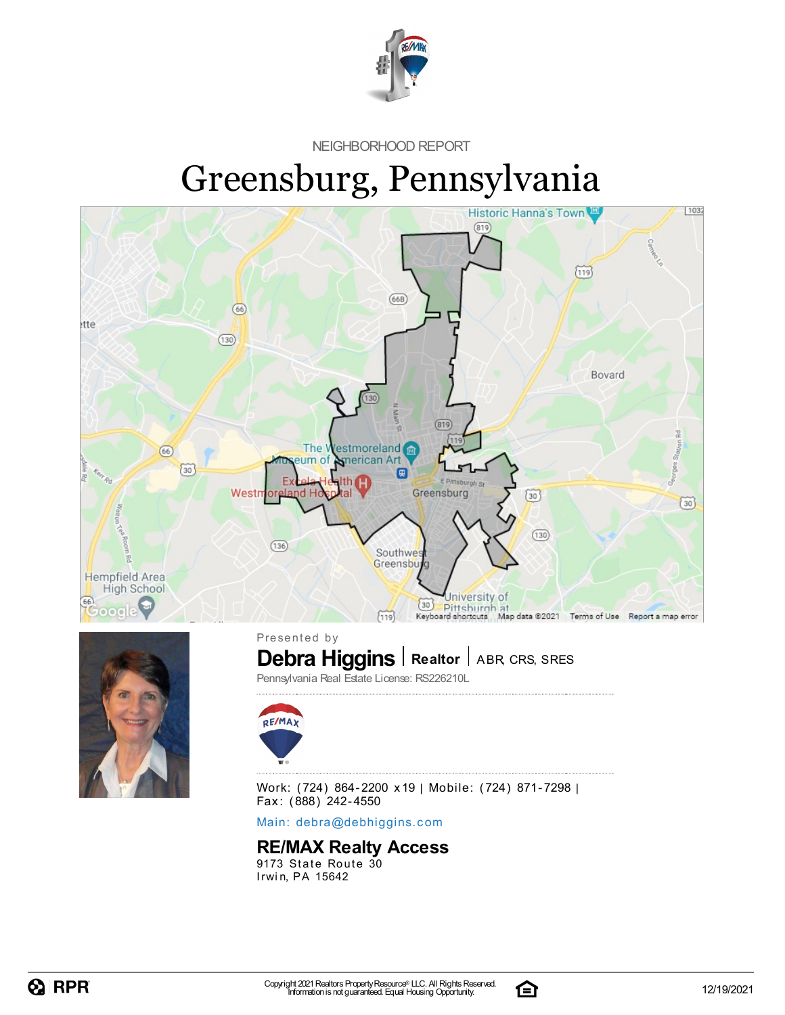

NEIGHBORHOOD REPORT

# Greensburg, Pennsylvania



Main: debra[@](mailto:debra@debhiggins.com)debhiggins.com

#### **RE/MAX Realty Access**

9173 State Route 30 Irwin, PA 15642

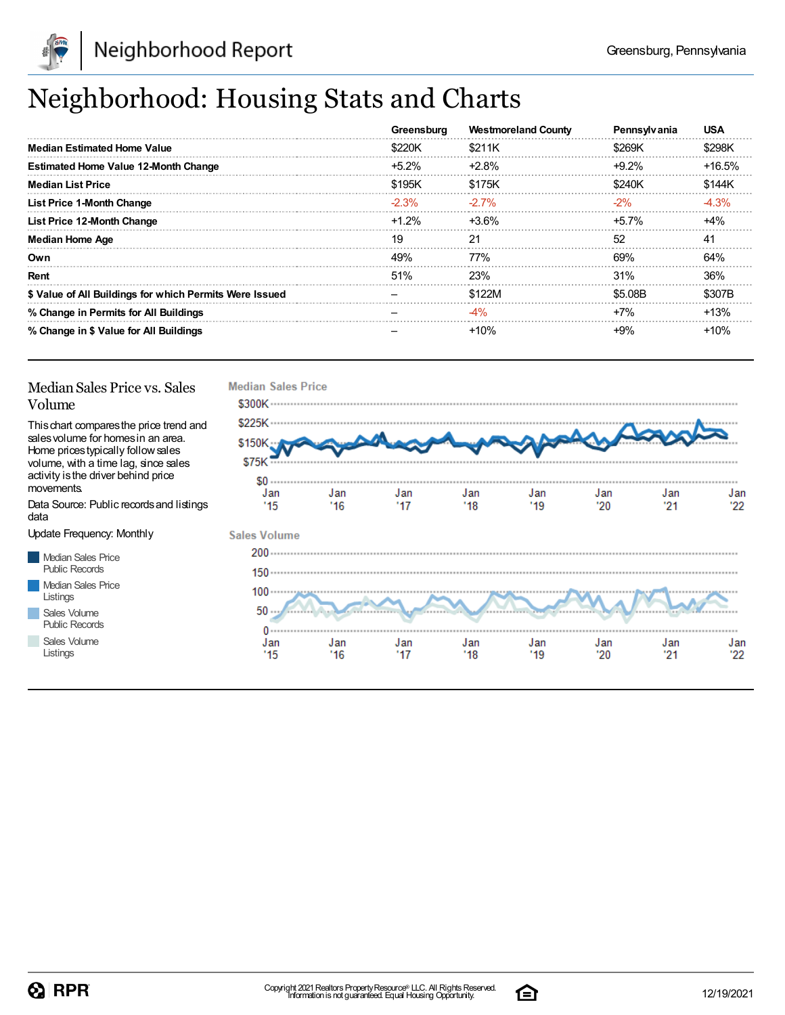

## Neighborhood: Housing Stats and Charts

|                                                         | Greensburg | <b>Westmoreland County</b> | Pennsylvania | <b>USA</b> |
|---------------------------------------------------------|------------|----------------------------|--------------|------------|
| <b>Median Estimated Home Value</b>                      | \$220K     | \$211K                     | \$269K       | \$298K     |
| <b>Estimated Home Value 12-Month Change</b>             | $+5.2\%$   | $+2.8\%$                   | $+9.2%$      | $+16.5%$   |
| <b>Median List Price</b>                                | \$195K     | \$175K                     | \$240K       | \$144K     |
| <b>List Price 1-Month Change</b>                        | $-2.3%$    | $-2.7\%$                   | $-2%$        | $-4.3%$    |
| List Price 12-Month Change                              | $+1.2%$    | $+3.6%$                    | $+5.7\%$     | $+4%$      |
| <b>Median Home Age</b>                                  | 19         | 21                         | 52           | 41         |
| Own                                                     | 49%        | <b>77%</b>                 | 69%          | 64%        |
| Rent                                                    | 51%        | 23%                        | 31%          | 36%        |
| \$ Value of All Buildings for which Permits Were Issued |            | \$122M                     | \$5.08B      | \$307B     |
| % Change in Permits for All Buildings                   |            | $-4\%$                     | $+7%$        | $+13%$     |
| % Change in \$ Value for All Buildings                  |            | $+10%$                     | $+9\%$       | $+10%$     |

#### Median Sales Price vs. Sales Volume

Thischart comparesthe price trend and salesvolume for homesin an area. Home pricestypically followsales volume, with a time lag, since sales activity isthe driver behind price movements.

Data Source: Public recordsand listings data

Update Frequency: Monthly

Median Sales Price Public Records Median Sales Price Listings Sales Volume

Public Records Sales Volume

Listings



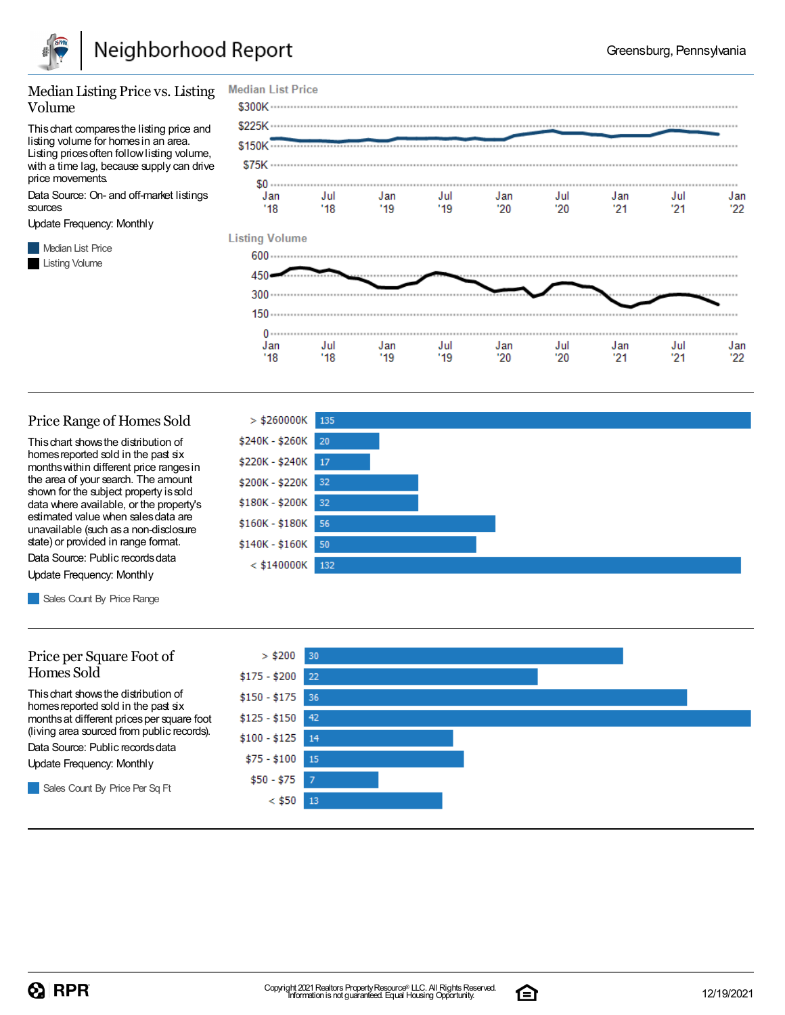

#### Median Listing Price vs. Listing Volume

Thischart comparesthe listing price and listing volume for homesin an area. Listing prices often follow listing volume, with a time lag, because supply can drive price movements.

Data Source: On- and off-market listings sources

Update Frequency: Monthly

**Median List Price** Listing Volume



#### Price Range of Homes Sold

Thischart showsthe distribution of homes reported sold in the past six monthswithin different price rangesin the area of your search. The amount shown for the subject property is sold data where available, or the property's estimated value when salesdata are unavailable (such asa non-disclosure state) or provided in range format.

Data Source: Public records data Update Frequency: Monthly

Sales Count By Price Range

#### Price per Square Foot of Homes Sold

Thischart showsthe distribution of homes reported sold in the past six monthsat different pricesper square foot (living area sourced from public records).

Data Source: Public records data

Update Frequency: Monthly

Sales Count By Price Per Sq Ft





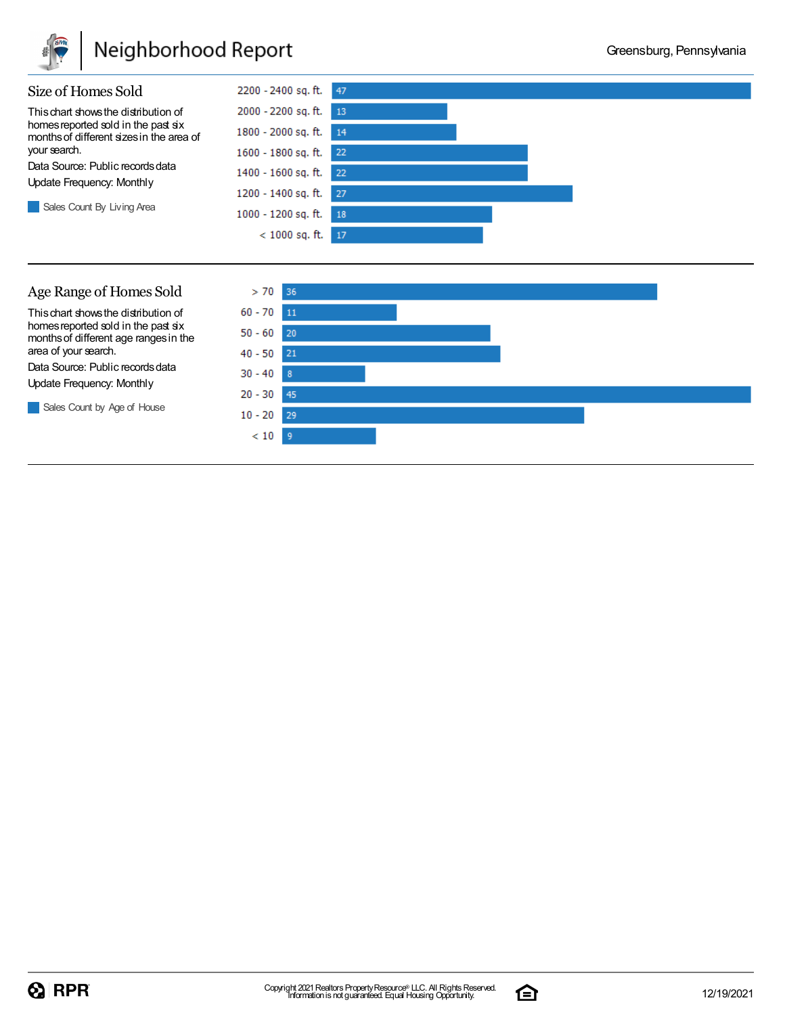

## Neighborhood Report



Sales Count by Age of House



 $20 - 30$ 

 $10 - 20$  29  $< 10$  $-9$ 

45



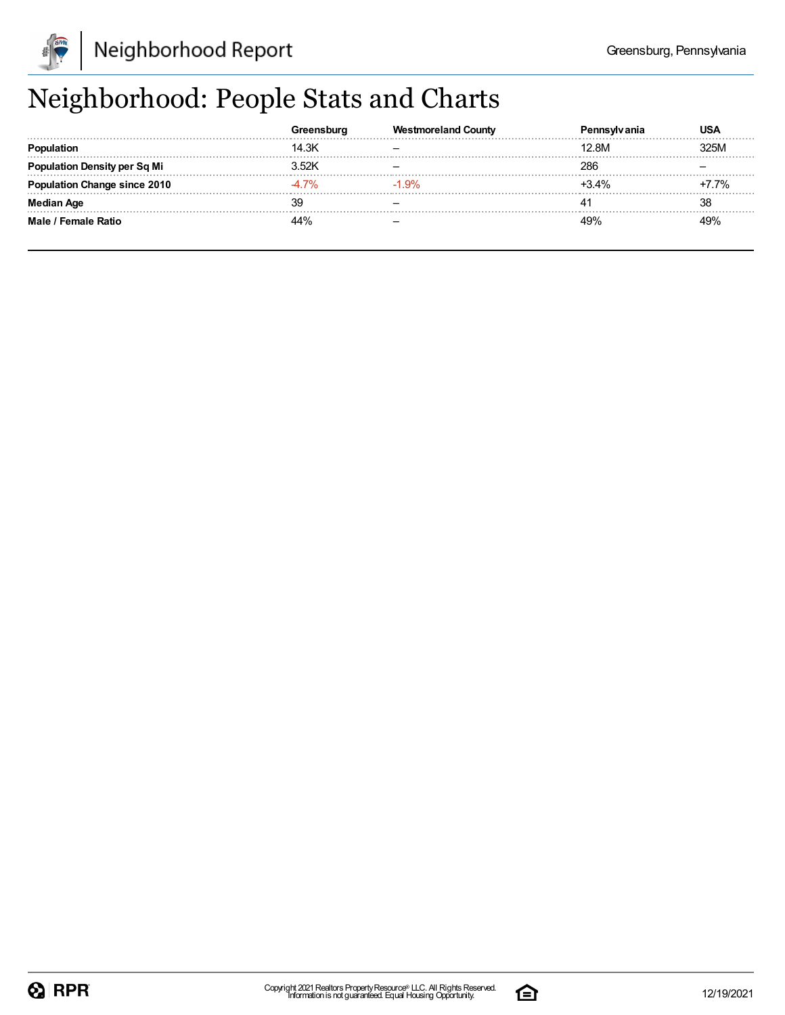

## Neighborhood: People Stats and Charts

|                               |       | Westmoreland County | ็anıa   | USA  |
|-------------------------------|-------|---------------------|---------|------|
| Population                    | 14.3K |                     | 12.8M   | 325M |
| 'ation Density per Sq Mi      | .52K  |                     | 286     |      |
| <b>tion Change since 2010</b> | . 7%  | $-1.9%$             | $+3.4%$ | 7%   |
| Median Age                    | વલ    |                     |         | 38   |
| Male / Female Ratio           | 44%   |                     | 40%     | 49%  |

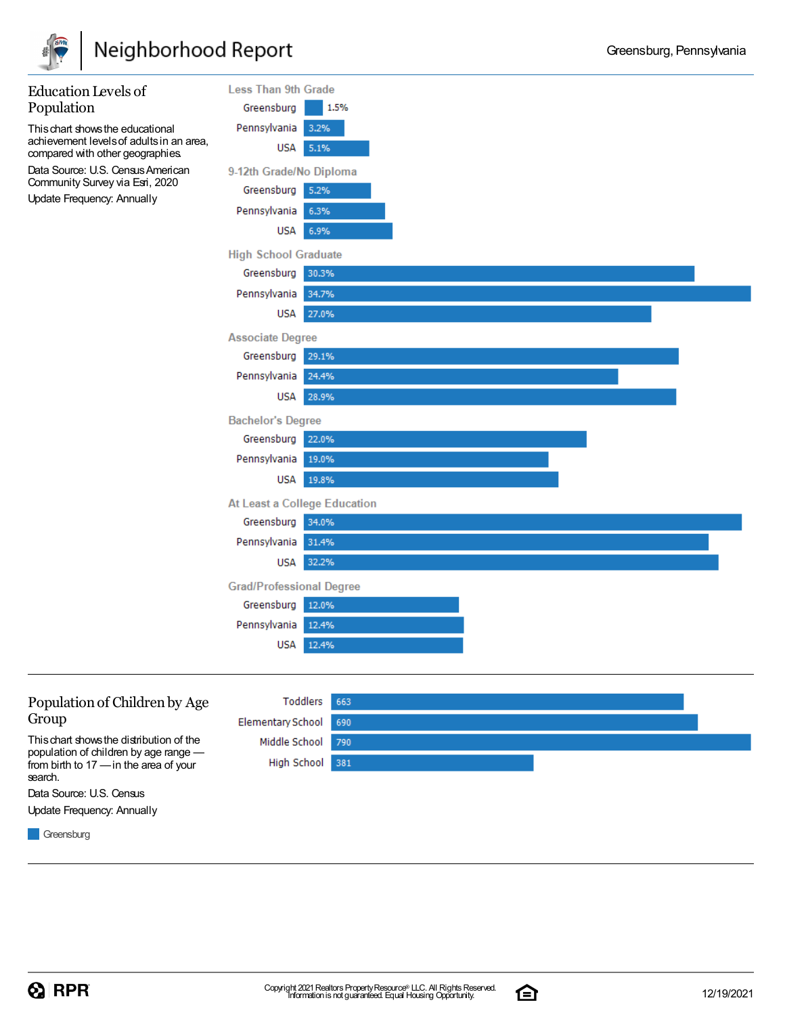

| <b>Education Levels of</b>                                                   | <b>Less Than 9th Grade</b>      |       |
|------------------------------------------------------------------------------|---------------------------------|-------|
| Population                                                                   | Greensburg                      | 1.5%  |
| This chart shows the educational                                             | Pennsylvania                    | 3.2%  |
| achievement levels of adults in an area,<br>compared with other geographies. | USA                             | 5.1%  |
| Data Source: U.S. Census American<br>Community Survey via Esri, 2020         | 9-12th Grade/No Diploma         |       |
| Update Frequency: Annually                                                   | Greensburg                      | 5.2%  |
|                                                                              | Pennsylvania                    | 6.3%  |
|                                                                              | <b>USA</b>                      | 6.9%  |
|                                                                              | <b>High School Graduate</b>     |       |
|                                                                              | Greensburg                      | 30.3% |
|                                                                              | Pennsylvania                    | 34.7% |
|                                                                              | <b>USA</b>                      | 27.0% |
|                                                                              | <b>Associate Degree</b>         |       |
|                                                                              | Greensburg                      | 29.1% |
|                                                                              | Pennsylvania                    | 24.4% |
|                                                                              | <b>USA</b>                      | 28.9% |
|                                                                              | <b>Bachelor's Degree</b>        |       |
|                                                                              | Greensburg                      | 22.0% |
|                                                                              | Pennsylvania                    | 19.0% |
|                                                                              | <b>USA</b>                      | 19.8% |
|                                                                              | At Least a College Education    |       |
|                                                                              | Greensburg 34.0%                |       |
|                                                                              | Pennsylvania                    | 31.4% |
|                                                                              | <b>USA</b>                      | 32.2% |
|                                                                              | <b>Grad/Professional Degree</b> |       |
|                                                                              | Greensburg                      | 12.0% |
|                                                                              | Pennsylvania                    | 12.4% |
|                                                                              | <b>USA</b>                      | 12.4% |
|                                                                              |                                 |       |



Data Source: U.S. Census Update Frequency: Annually

**Greensburg** 

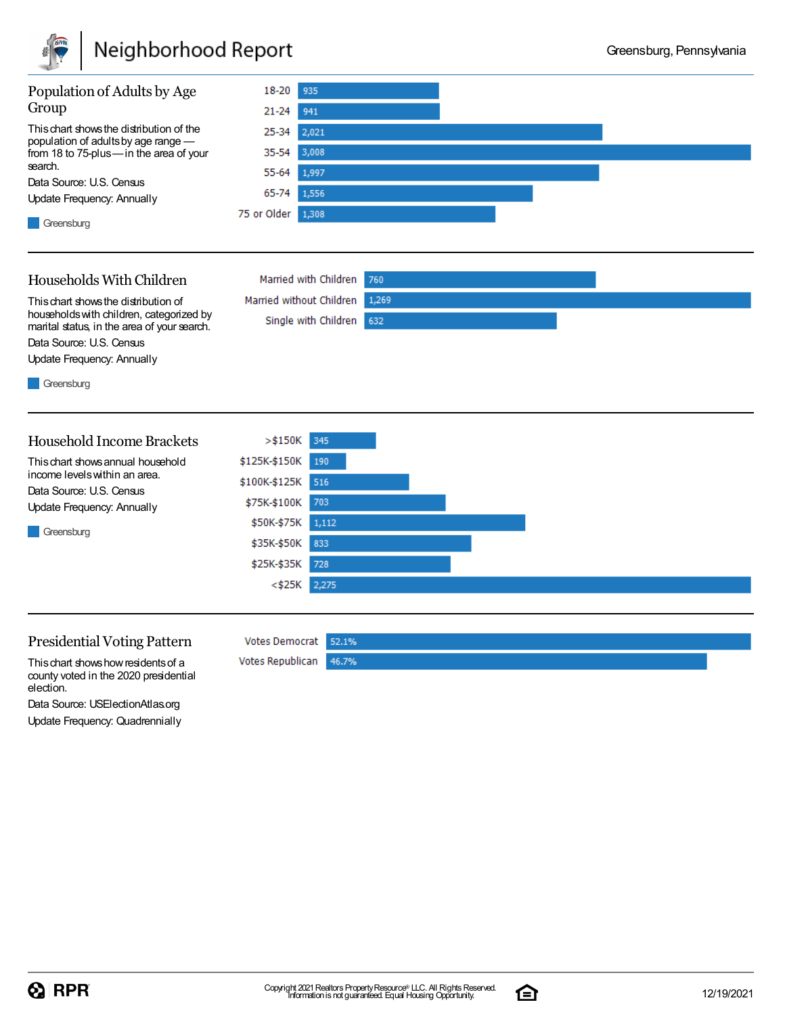

### Neighborhood Report



760

 $1,269$ 

Married with Children

Single with Children 632

Married without Children

Votes Democrat 52.1%

46.7%

Votes Republican

#### Households With Children

Thischart showsthe distribution of householdswith children, categorized by marital status, in the area of your search. Data Source: U.S. Census

Update Frequency: Annually

**Greensburg** 

#### Household Income Brackets

Thischart showsannual household income levelswithin an area. Data Source: U.S. Census

Update Frequency: Annually





#### Presidential Voting Pattern

Thischart showshowresidentsof a county voted in the 2020 presidential election.

Data Source: USElectionAtlas.org Update Frequency: Quadrennially

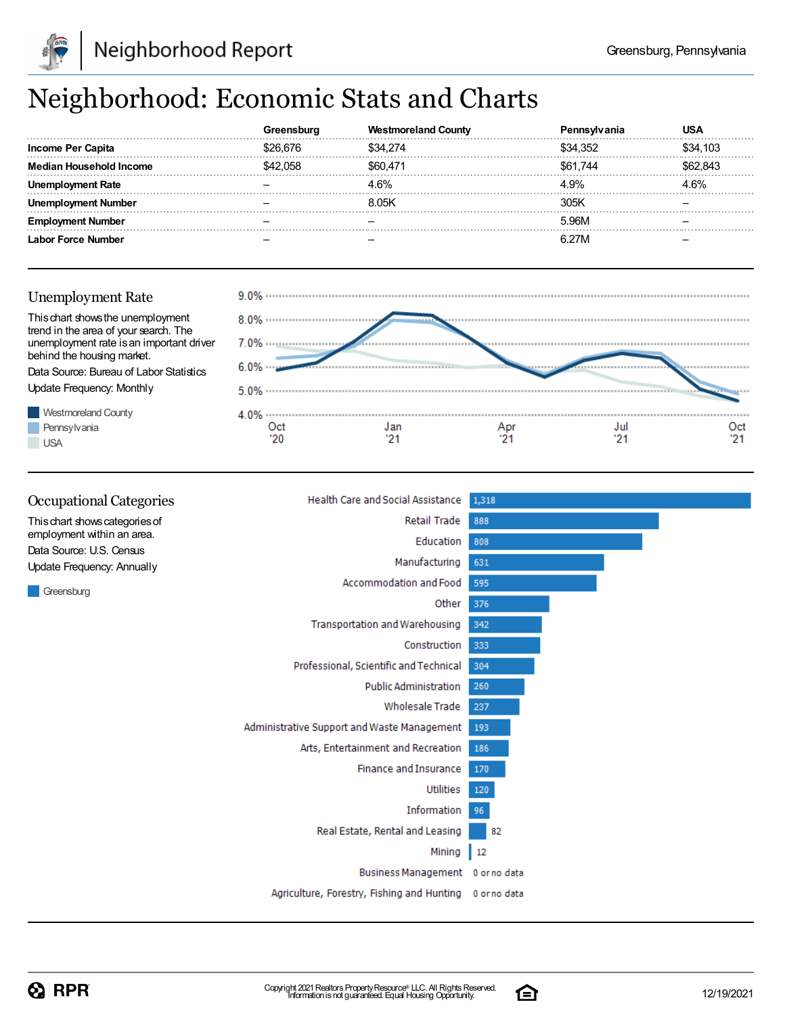

## Neighborhood: Economic Stats and Charts

|                    | oura | tmoreland Countv |          |          |
|--------------------|------|------------------|----------|----------|
| Income Per Capita  |      | \$34.274         | \$34.352 | \$34,103 |
| . Household Income | .058 | \$60 471         | \$61.744 | 62.843   |
|                    |      | 4.6%             | 4.9%     | .6%      |
| umber              |      | 8 0.5K           | 305K     |          |
| Number             |      |                  | 5.96M    |          |
| ∟abor Force Number |      |                  | 6.27M    |          |

#### Unemployment Rate

behind the housing market.

Update Frequency: Monthly

Westmoreland County Pennsylvania

**USA** 





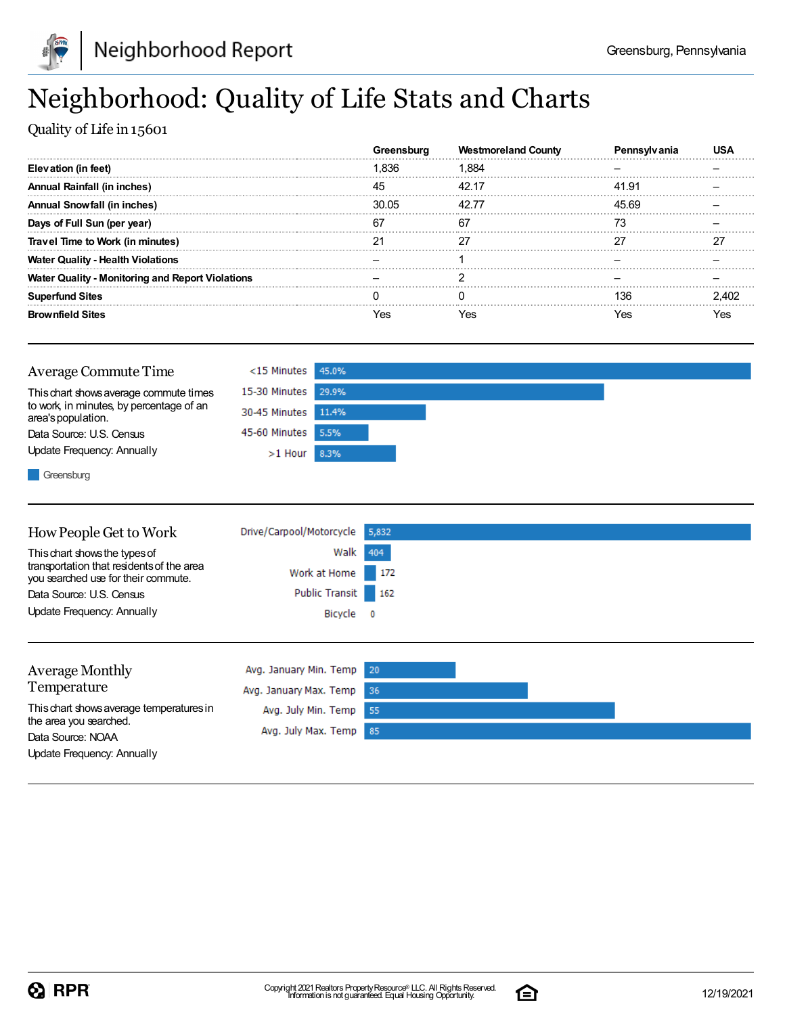

## Neighborhood: Quality of Life Stats and Charts

Quality of Life in 15601

|                                                         |       | <b>Westmoreland County</b> |       |  |
|---------------------------------------------------------|-------|----------------------------|-------|--|
| Elevation (in feet)                                     | Ⅰ.836 | 1.884                      |       |  |
| Annual Rainfall (in inches)                             | 45    | 42.17                      | 41.91 |  |
| <b>Annual Snowfall (in inches)</b>                      | 30.05 | 42.77                      | 45.69 |  |
| Days of Full Sun (per year)                             |       | 67                         |       |  |
| Travel Time to Work (in minutes)                        |       |                            |       |  |
| <b>Water Quality - Health Violations</b>                |       |                            |       |  |
| <b>Water Quality - Monitoring and Report Violations</b> |       |                            |       |  |
| <b>Superfund Sites</b>                                  |       |                            | 136   |  |
| <b>Brownfield Sites</b>                                 | 'es   | Yes                        | /es   |  |

| Average Commute Time                                                                                                                                                                                                                                                                                                                                                                                                                                                                       | $<$ 15 Minutes 45.0% |  |  |  |
|--------------------------------------------------------------------------------------------------------------------------------------------------------------------------------------------------------------------------------------------------------------------------------------------------------------------------------------------------------------------------------------------------------------------------------------------------------------------------------------------|----------------------|--|--|--|
| This chart shows average commute times                                                                                                                                                                                                                                                                                                                                                                                                                                                     | 15-30 Minutes 29.9%  |  |  |  |
| to work, in minutes, by percentage of an<br>area's population.                                                                                                                                                                                                                                                                                                                                                                                                                             | 30-45 Minutes 11.4%  |  |  |  |
| Data Source: U.S. Census                                                                                                                                                                                                                                                                                                                                                                                                                                                                   | 45-60 Minutes 5.5%   |  |  |  |
| Update Frequency: Annually                                                                                                                                                                                                                                                                                                                                                                                                                                                                 | $>1$ Hour 8.3%       |  |  |  |
| $\blacksquare$ $\blacksquare$ $\blacksquare$ $\blacksquare$ $\blacksquare$ $\blacksquare$ $\blacksquare$ $\blacksquare$ $\blacksquare$ $\blacksquare$ $\blacksquare$ $\blacksquare$ $\blacksquare$ $\blacksquare$ $\blacksquare$ $\blacksquare$ $\blacksquare$ $\blacksquare$ $\blacksquare$ $\blacksquare$ $\blacksquare$ $\blacksquare$ $\blacksquare$ $\blacksquare$ $\blacksquare$ $\blacksquare$ $\blacksquare$ $\blacksquare$ $\blacksquare$ $\blacksquare$ $\blacksquare$ $\blacks$ |                      |  |  |  |

Greensburg

| How People Get to Work                                                           | Drive/Carpool/Motorcycle | 5,832                    |  |
|----------------------------------------------------------------------------------|--------------------------|--------------------------|--|
| This chart shows the types of                                                    | Walk                     | 404                      |  |
| transportation that residents of the area<br>you searched use for their commute. | Work at Home             | 172                      |  |
| Data Source: U.S. Census                                                         | Public Transit           | 162                      |  |
| Update Frequency: Annually                                                       | Bicycle                  | $\overline{\phantom{0}}$ |  |
|                                                                                  |                          |                          |  |
| <b>Average Monthly</b>                                                           | Avg. January Min. Temp   | 20                       |  |
| Temperature                                                                      | Avg. January Max. Temp   | 36                       |  |
| This chart shows average temperatures in                                         | Avg. July Min. Temp      | 55                       |  |
| the area you searched.<br>Data Source: NOAA                                      | Avg. July Max. Temp      | 85                       |  |
| Update Frequency: Annually                                                       |                          |                          |  |

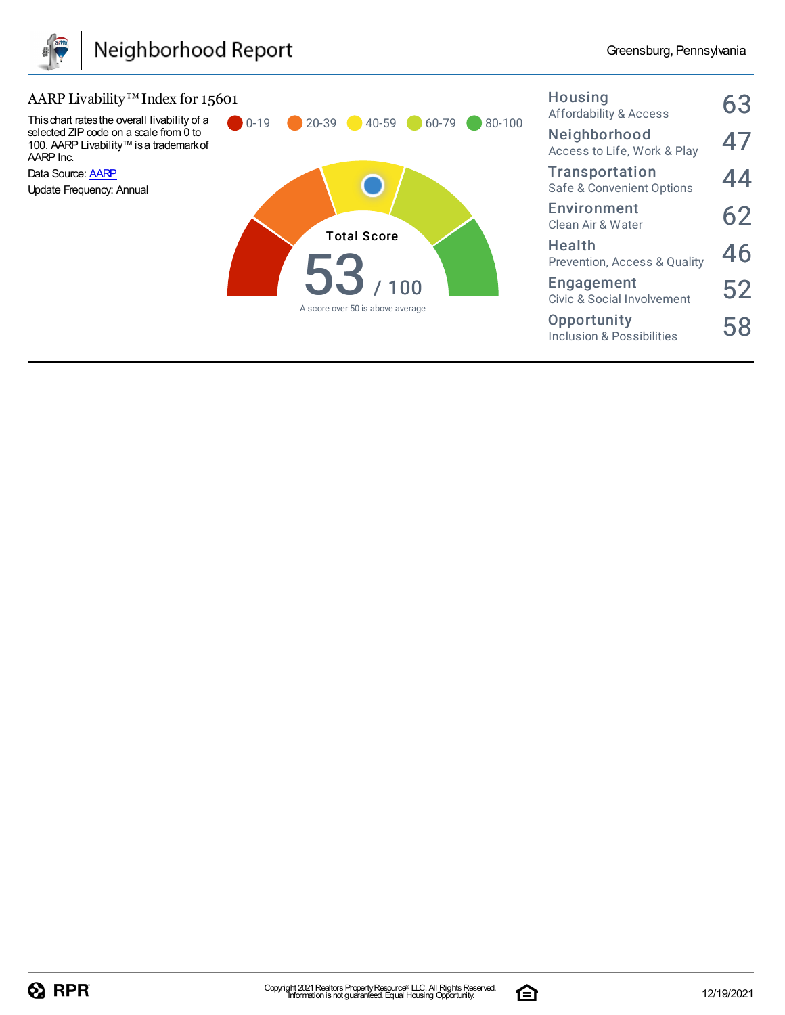